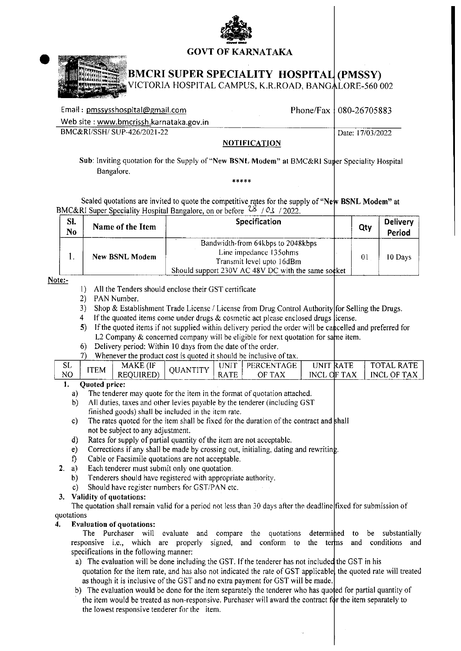



## **BMCRI SUPER SPECIALITY HOSPITAL (PMSSY)**

VICTORIA HOSPITAL CAMPUS, K.R.ROAD, BANGALORE-560 002

| Email: pmssysshospital@gmail.com        |                     | Phone/Fax   080-26705883 |
|-----------------------------------------|---------------------|--------------------------|
| Web site: www.bmcrissh.karnataka.gov.in |                     |                          |
| BMC&RI/SSH/SUP-426/2021-22              |                     | Date: 17/03/2022         |
|                                         | <b>NOTIFICATION</b> |                          |

### Sub: Inviting quotation for the Supply of "New BSNL Modem" at BMC&RI Super Speciality Hospital Bangalore.

 $***$  \* \* \*

Sealed quotations are invited to quote the competitive rates for the supply of "New BSNL Modem" at BMC&RI Super Speciality Hospital Bangalore, on or before  $28 / 03 / 2022$ .

| SI.<br>N <sub>0</sub> | Name of the Item      | Specification                                                                                                                                  |  | Qty            | <b>Delivery</b><br>Period |
|-----------------------|-----------------------|------------------------------------------------------------------------------------------------------------------------------------------------|--|----------------|---------------------------|
|                       | <b>New BSNL Modem</b> | Bandwidth-from 64kbps to 2048kbps<br>Line impedance 135ohms<br>Transmit level upto 16dBm<br>Should support 230V AC 48V DC with the same socket |  | 0 <sub>1</sub> | 10 Days                   |

#### Note:-

- 1) All the Tenders should enclose their GST certificate
- 2) PAN Number.
- 3) Shop & Establishment Trade License / License from Drug Control Authority for Selling the Drugs.
- 4 If the quoated items come under drugs  $\&$  cosmetic act please enclosed drugs license.
- 5) If the quoted items if not supplied within delivery period the order will be cancelled and preferred for L2 Company & concerned company will be eligible for next quotation for same item.
- 6) Delivery period: Within 10 days from the date of the order.
- 7) Whenever the product cost is quoted it should be inclusive of tax.

| ىس | ITEM<br>------- | MAKE           | IA N | . INIT      | <b>PERCENTAGE</b> | <b>INIT</b> | . RATP. | <b>DATT</b><br>а. |
|----|-----------------|----------------|------|-------------|-------------------|-------------|---------|-------------------|
| NO |                 | JIRED)<br>REOU |      | <b>RATE</b> | OF TAX            | INCL OF TAX |         | INCL OF TAX       |
|    | Awatad nyiasa   |                |      |             |                   |             |         |                   |

### Quoted price:

- The tenderer may quote for the item in the format of quotation attached. a)
- All duties, taxes and other levies payable by the tenderer (including GST  $b)$ finished goods) shall be included in the item rate.
- $c)$ The rates quoted for the item shall be fixed for the duration of the contract and shall not be subject to any adjustment.
- Rates for supply of partial quantity of the item are not acceptable.  $\mathbf{d}$
- $e$ Corrections if any shall be made by crossing out, initialing, dating and rewriting.
- $\mathbf{f}$ Cable or Facsimile quotations are not acceptable.
- $2 \quad a)$ Each tenderer must submit only one quotation.
	- Tenderers should have registered with appropriate authority. b)
	- $c)$ Should have register numbers for GST/PAN etc.

#### 3. Validity of quotations:

The quotation shall remain valid for a period not less than 30 days after the deadline fixed for submission of quotations

#### $\overline{4}$ . **Evaluation of quotations:**

The Purchaser will evaluate and compare the quotations determined to be substantially responsive i.e., which are properly signed, and conform to the terms and conditions and specifications in the following manner:

- a) The evaluation will be done including the GST. If the tenderer has not included the GST in his quotation for the item rate, and has also not indicated the rate of GST applicable, the quoted rate will treated as though it is inclusive of the GST and no extra payment for GST will be made.
- b) The evaluation would be done for the item separately the tenderer who has quoted for partial quantity of the item would be treated as non-responsive. Purchaser will award the contract for the item separately to the lowest responsive tenderer for the item.